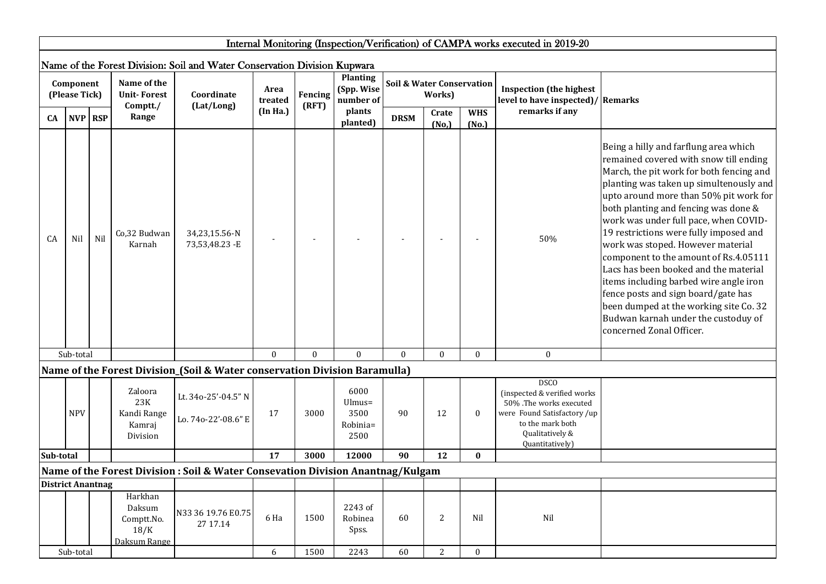|                          |                            |         |                                                         |                                                                                 |                 |                  |                                            |                                                |                |                     | Internal Monitoring (Inspection/Verification) of CAMPA works executed in 2019-20                                                                               |                                                                                                                                                                                                                                                                                                                                                                                                                                                                                                                                                                                                                                                                  |
|--------------------------|----------------------------|---------|---------------------------------------------------------|---------------------------------------------------------------------------------|-----------------|------------------|--------------------------------------------|------------------------------------------------|----------------|---------------------|----------------------------------------------------------------------------------------------------------------------------------------------------------------|------------------------------------------------------------------------------------------------------------------------------------------------------------------------------------------------------------------------------------------------------------------------------------------------------------------------------------------------------------------------------------------------------------------------------------------------------------------------------------------------------------------------------------------------------------------------------------------------------------------------------------------------------------------|
|                          |                            |         |                                                         |                                                                                 |                 |                  |                                            |                                                |                |                     |                                                                                                                                                                |                                                                                                                                                                                                                                                                                                                                                                                                                                                                                                                                                                                                                                                                  |
|                          |                            |         |                                                         | Name of the Forest Division: Soil and Water Conservation Division Kupwara       |                 |                  |                                            |                                                |                |                     |                                                                                                                                                                |                                                                                                                                                                                                                                                                                                                                                                                                                                                                                                                                                                                                                                                                  |
|                          | Component<br>(Please Tick) |         | Name of the<br><b>Unit-Forest</b><br>Comptt./           | Coordinate<br>(Lat/Long)                                                        | Area<br>treated | Fencing<br>(RFT) | <b>Planting</b><br>(Spp. Wise<br>number of | <b>Soil &amp; Water Conservation</b><br>Works) |                |                     | <b>Inspection</b> (the highest<br>level to have inspected)/ Remarks                                                                                            |                                                                                                                                                                                                                                                                                                                                                                                                                                                                                                                                                                                                                                                                  |
| CA                       |                            | NVP RSP | Range                                                   |                                                                                 | (In Ha.)        |                  | plants<br>planted)                         | <b>DRSM</b>                                    | Crate<br>(No,) | <b>WHS</b><br>(No.) | remarks if any                                                                                                                                                 |                                                                                                                                                                                                                                                                                                                                                                                                                                                                                                                                                                                                                                                                  |
| CA                       | Nil                        | Nil     | Co,32 Budwan<br>Karnah                                  | 34,23,15.56-N<br>73,53,48.23 - E                                                |                 |                  |                                            |                                                |                |                     | 50%                                                                                                                                                            | Being a hilly and farflung area which<br>remained covered with snow till ending<br>March, the pit work for both fencing and<br>planting was taken up simultenously and<br>upto around more than 50% pit work for<br>both planting and fencing was done &<br>work was under full pace, when COVID-<br>19 restrictions were fully imposed and<br>work was stoped. However material<br>component to the amount of Rs.4.05111<br>Lacs has been booked and the material<br>items including barbed wire angle iron<br>fence posts and sign board/gate has<br>been dumped at the working site Co. 32<br>Budwan karnah under the custoduy of<br>concerned Zonal Officer. |
|                          | Sub-total                  |         |                                                         |                                                                                 | $\mathbf{0}$    | $\mathbf{0}$     | $\mathbf{0}$                               | $\mathbf{0}$                                   | $\mathbf{0}$   | $\mathbf{0}$        | $\mathbf{0}$                                                                                                                                                   |                                                                                                                                                                                                                                                                                                                                                                                                                                                                                                                                                                                                                                                                  |
|                          |                            |         |                                                         | Name of the Forest Division_(Soil & Water conservation Division Baramulla)      |                 |                  |                                            |                                                |                |                     |                                                                                                                                                                |                                                                                                                                                                                                                                                                                                                                                                                                                                                                                                                                                                                                                                                                  |
|                          | <b>NPV</b>                 |         | Zaloora<br>23K<br>Kandi Range<br>Kamraj<br>Division     | Lt. 34o-25'-04.5" N<br>Lo. 74o-22'-08.6" E                                      | 17              | 3000             | 6000<br>Ulmus=<br>3500<br>Robinia=<br>2500 | 90                                             | 12             | $\boldsymbol{0}$    | <b>DSCO</b><br>(inspected & verified works<br>50% .The works executed<br>were Found Satisfactory /up<br>to the mark both<br>Qualitatively &<br>Quantitatively) |                                                                                                                                                                                                                                                                                                                                                                                                                                                                                                                                                                                                                                                                  |
| Sub-total                |                            |         |                                                         |                                                                                 | 17              | 3000             | 12000                                      | 90                                             | 12             | $\bf{0}$            |                                                                                                                                                                |                                                                                                                                                                                                                                                                                                                                                                                                                                                                                                                                                                                                                                                                  |
|                          |                            |         |                                                         | Name of the Forest Division : Soil & Water Consevation Division Anantnag/Kulgam |                 |                  |                                            |                                                |                |                     |                                                                                                                                                                |                                                                                                                                                                                                                                                                                                                                                                                                                                                                                                                                                                                                                                                                  |
| <b>District Anantnag</b> |                            |         |                                                         |                                                                                 |                 |                  |                                            |                                                |                |                     |                                                                                                                                                                |                                                                                                                                                                                                                                                                                                                                                                                                                                                                                                                                                                                                                                                                  |
|                          |                            |         | Harkhan<br>Daksum<br>Comptt.No.<br>18/K<br>Daksum Range | N33 36 19.76 E0.75<br>27 17.14                                                  | 6 Ha            | 1500             | 2243 of<br>Robinea<br>Spss.                | 60                                             | 2              | Nil                 | Nil                                                                                                                                                            |                                                                                                                                                                                                                                                                                                                                                                                                                                                                                                                                                                                                                                                                  |
|                          | Sub-total                  |         |                                                         |                                                                                 | 6               | 1500             | 2243                                       | 60                                             | 2              | $\mathbf{0}$        |                                                                                                                                                                |                                                                                                                                                                                                                                                                                                                                                                                                                                                                                                                                                                                                                                                                  |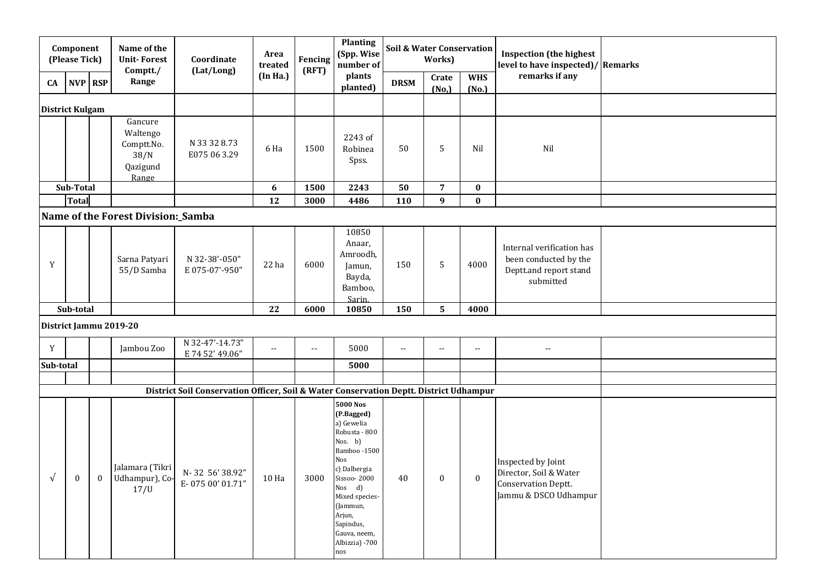| Component<br>(Please Tick) |              | Name of the<br><b>Unit-Forest</b><br>Comptt./ | Coordinate<br>(Lat/Long)                                       | Area<br>treated                                                                        | Fencing<br>(RFT) | <b>Planting</b><br>(Spp. Wise<br>number of    | <b>Soil &amp; Water Conservation</b>                                                                                                                                                                                                 | Works)      |                  | <b>Inspection (the highest</b><br>level to have inspected)/ Remarks |                                                                                                     |  |
|----------------------------|--------------|-----------------------------------------------|----------------------------------------------------------------|----------------------------------------------------------------------------------------|------------------|-----------------------------------------------|--------------------------------------------------------------------------------------------------------------------------------------------------------------------------------------------------------------------------------------|-------------|------------------|---------------------------------------------------------------------|-----------------------------------------------------------------------------------------------------|--|
| CA                         |              | NVP RSP                                       | Range                                                          |                                                                                        | (In Ha.)         |                                               | plants<br>planted)                                                                                                                                                                                                                   | <b>DRSM</b> | Crate<br>(No,)   | <b>WHS</b><br>(No.)                                                 | remarks if any                                                                                      |  |
| <b>District Kulgam</b>     |              |                                               |                                                                |                                                                                        |                  |                                               |                                                                                                                                                                                                                                      |             |                  |                                                                     |                                                                                                     |  |
|                            |              |                                               | Gancure<br>Waltengo<br>Comptt.No.<br>38/N<br>Qazigund<br>Range | N 33 32 8.73<br>E075 06 3.29                                                           | 6 Ha             | 1500                                          | 2243 of<br>Robinea<br>Spss.                                                                                                                                                                                                          | 50          | 5                | Nil                                                                 | Nil                                                                                                 |  |
|                            | Sub-Total    |                                               |                                                                |                                                                                        | 6                | 1500                                          | 2243                                                                                                                                                                                                                                 | 50          | $\overline{7}$   | $\bf{0}$                                                            |                                                                                                     |  |
|                            | <b>Total</b> |                                               |                                                                |                                                                                        | 12               | 3000                                          | 4486                                                                                                                                                                                                                                 | 110         | $\boldsymbol{9}$ | $\bf{0}$                                                            |                                                                                                     |  |
|                            |              |                                               | Name of the Forest Division:_Samba                             |                                                                                        |                  |                                               |                                                                                                                                                                                                                                      |             |                  |                                                                     |                                                                                                     |  |
| Y                          |              |                                               | Sarna Patyari<br>55/D Samba                                    | N 32-38'-050"<br>E075-07'-950"                                                         | 22 ha            | 6000                                          | 10850<br>Anaar,<br>Amroodh,<br>Jamun,<br>Bayda,<br>Bamboo,<br><b>Sarin</b>                                                                                                                                                           | 150         | 5                | 4000                                                                | Internal verification has<br>been conducted by the<br>Deptt.and report stand<br>submitted           |  |
|                            | Sub-total    |                                               |                                                                |                                                                                        | 22               | 6000                                          | 10850                                                                                                                                                                                                                                | 150         | 5                | 4000                                                                |                                                                                                     |  |
|                            |              |                                               | District Jammu 2019-20                                         |                                                                                        |                  |                                               |                                                                                                                                                                                                                                      |             |                  |                                                                     |                                                                                                     |  |
| Y                          |              |                                               | Jambou Zoo                                                     | N 32-47'-14.73"<br>E 74 52' 49.06"                                                     | н.               | $\mathord{\hspace{1pt}\text{--}\hspace{1pt}}$ | 5000                                                                                                                                                                                                                                 | н.          | $\sim$           | $\overline{a}$                                                      | $\sim$ $\sim$                                                                                       |  |
| Sub-total                  |              |                                               |                                                                |                                                                                        |                  |                                               | 5000                                                                                                                                                                                                                                 |             |                  |                                                                     |                                                                                                     |  |
|                            |              |                                               |                                                                |                                                                                        |                  |                                               |                                                                                                                                                                                                                                      |             |                  |                                                                     |                                                                                                     |  |
|                            |              |                                               |                                                                | District Soil Conservation Officer, Soil & Water Conservation Deptt. District Udhampur |                  |                                               |                                                                                                                                                                                                                                      |             |                  |                                                                     |                                                                                                     |  |
| $\sqrt{ }$                 | $\bf{0}$     | $\bf{0}$                                      | Jalamara (Tikri<br>Udhampur), Co-<br>17 <sub>U</sub>           | N-32 56'38.92"<br>E-075 00' 01.71"                                                     | 10 Ha            | 3000                                          | <b>5000 Nos</b><br>(P.Bagged)<br>a) Gewelia<br>Robusta - 800<br>Nos. b)<br>Bamboo-1500<br>Nos<br>c) Dalbergia<br>Sissoo-2000<br>Nos d)<br>Mixed species-<br>(Jammun,<br>Arjun,<br>Sapindus,<br>Gauva, neem,<br>Albizzia) -700<br>nos | 40          | $\boldsymbol{0}$ | $\bf{0}$                                                            | Inspected by Joint<br>Director, Soil & Water<br><b>Conservation Deptt.</b><br>Jammu & DSCO Udhampur |  |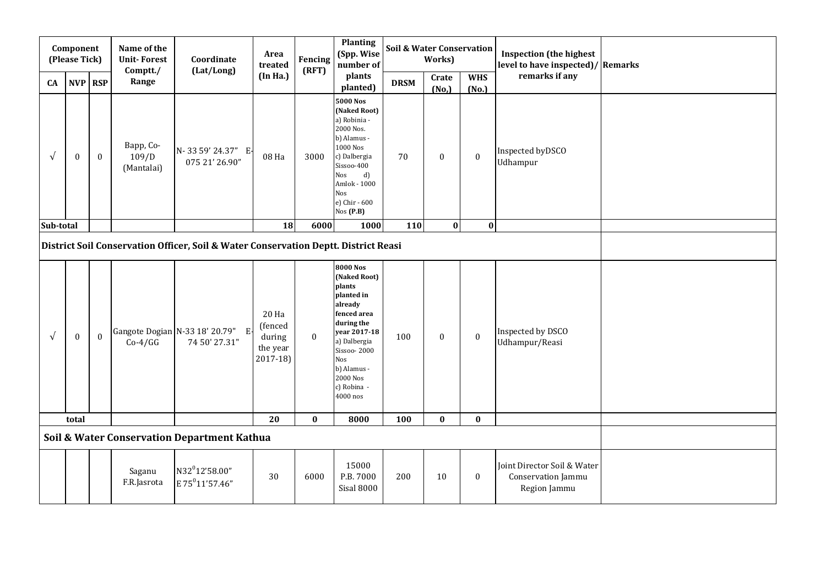|                                                                        | Component<br>(Please Tick) |                  | Name of the<br><b>Unit-Forest</b><br>Comptt./                                       | Coordinate<br>(Lat/Long)                                  | Area<br>treated                                    | Fencing<br>(RFT) | Planting<br>(Spp. Wise<br>number of<br>plants                                                                                                                                                        | Soil & Water Conservation | Works)           |                     | <b>Inspection</b> (the highest<br>level to have inspected)/ Remarks |  |
|------------------------------------------------------------------------|----------------------------|------------------|-------------------------------------------------------------------------------------|-----------------------------------------------------------|----------------------------------------------------|------------------|------------------------------------------------------------------------------------------------------------------------------------------------------------------------------------------------------|---------------------------|------------------|---------------------|---------------------------------------------------------------------|--|
| CA                                                                     | NVP RSP                    |                  | Range                                                                               |                                                           | (In Ha.)                                           |                  | planted)                                                                                                                                                                                             | <b>DRSM</b>               | Crate<br>(No,)   | <b>WHS</b><br>(No.) | remarks if any                                                      |  |
| $\sqrt{ }$                                                             | $\boldsymbol{0}$           | $\bf{0}$         | Bapp, Co-<br>109/D<br>(Mantalai)                                                    | N-33 59' 24.37" E-<br>075 21' 26.90"                      | 08 Ha                                              | 3000             | <b>5000 Nos</b><br>(Naked Root)<br>a) Robinia -<br>2000 Nos.<br>b) Alamus -<br>1000 Nos<br>c) Dalbergia<br>Sissoo-400<br>d)<br>Nos<br>Amlok - 1000<br>Nos<br>e) Chir - 600<br>Nos(P.B)               | 70                        | $\boldsymbol{0}$ | $\bf{0}$            | Inspected byDSCO<br>Udhampur                                        |  |
| $\mathbf{0}$<br>18<br>$\mathbf{0}$<br>Sub-total<br>6000<br>1000<br>110 |                            |                  |                                                                                     |                                                           |                                                    |                  |                                                                                                                                                                                                      |                           |                  |                     |                                                                     |  |
|                                                                        |                            |                  | District Soil Conservation Officer, Soil & Water Conservation Deptt. District Reasi |                                                           |                                                    |                  |                                                                                                                                                                                                      |                           |                  |                     |                                                                     |  |
| $\sqrt{ }$                                                             | $\boldsymbol{0}$           | $\boldsymbol{0}$ | $Co-4/GG$                                                                           | Gangote Dogian N-33 18' 20.79"<br>E.<br>74 50' 27.31"     | 20 Ha<br>(fenced<br>during<br>the year<br>2017-18) | $\bf{0}$         | 8000 Nos<br>(Naked Root)<br>plants<br>planted in<br>already<br>fenced area<br>during the<br>year 2017-18<br>a) Dalbergia<br>Sissoo-2000<br>Nos<br>b) Alamus -<br>2000 Nos<br>c) Robina -<br>4000 nos | 100                       | $\boldsymbol{0}$ | $\bf{0}$            | Inspected by DSCO<br>Udhampur/Reasi                                 |  |
| 20<br>$\bf{0}$<br>$\bf{0}$<br>8000<br>100<br>$\bf{0}$<br>total         |                            |                  |                                                                                     |                                                           |                                                    |                  |                                                                                                                                                                                                      |                           |                  |                     |                                                                     |  |
| Soil & Water Conservation Department Kathua                            |                            |                  |                                                                                     |                                                           |                                                    |                  |                                                                                                                                                                                                      |                           |                  |                     |                                                                     |  |
|                                                                        |                            |                  | Saganu<br>F.R.Jasrota                                                               | N32 <sup>0</sup> 12'58.00"<br>E 75 <sup>0</sup> 11'57.46" | 30                                                 | 6000             | 15000<br>P.B. 7000<br><b>Sisal 8000</b>                                                                                                                                                              | 200                       | 10               | $\boldsymbol{0}$    | Joint Director Soil & Water<br>Conservation Jammu<br>Region Jammu   |  |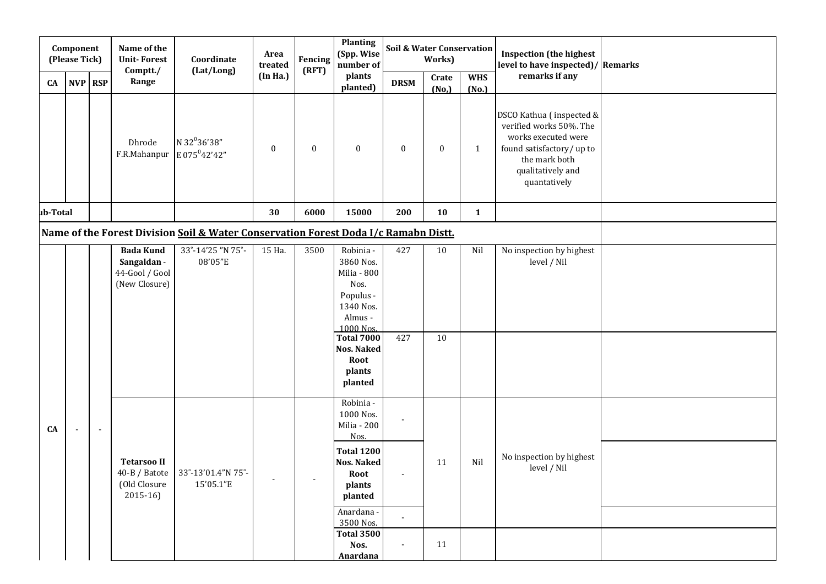|           | Component<br>(Please Tick) |         | Name of the<br><b>Unit-Forest</b><br>Comptt./                      | Coordinate<br>(Lat/Long)                                                            | Area<br>treated  | Fencing<br>(RFT) | <b>Planting</b><br>(Spp. Wise<br>number of                                                                                                                                                      | Soil & Water Conservation<br>Works) |                |                     | <b>Inspection (the highest</b><br>level to have inspected)/ Remarks                                                                                           |  |
|-----------|----------------------------|---------|--------------------------------------------------------------------|-------------------------------------------------------------------------------------|------------------|------------------|-------------------------------------------------------------------------------------------------------------------------------------------------------------------------------------------------|-------------------------------------|----------------|---------------------|---------------------------------------------------------------------------------------------------------------------------------------------------------------|--|
| <b>CA</b> |                            | NVP RSP | Range                                                              |                                                                                     | (In Ha.)         |                  | plants<br>planted)                                                                                                                                                                              | <b>DRSM</b>                         | Crate<br>(No,) | <b>WHS</b><br>(No.) | remarks if any                                                                                                                                                |  |
|           |                            |         | Dhrode<br>F.R.Mahanpur $E 075^042'42''$                            | N 32 <sup>0</sup> 36'38"                                                            | $\boldsymbol{0}$ | $\boldsymbol{0}$ | $\boldsymbol{0}$                                                                                                                                                                                | $\boldsymbol{0}$                    | $\bf{0}$       | $\mathbf{1}$        | DSCO Kathua (inspected &<br>verified works 50%. The<br>works executed were<br>found satisfactory/ up to<br>the mark both<br>qualitatively and<br>quantatively |  |
| ub-Total  |                            |         |                                                                    |                                                                                     | 30               | 6000             | 15000                                                                                                                                                                                           | 200                                 | 10             | $\mathbf{1}$        |                                                                                                                                                               |  |
|           |                            |         |                                                                    | Name of the Forest Division Soil & Water Conservation Forest Doda I/c Ramabn Distt. |                  |                  |                                                                                                                                                                                                 |                                     |                |                     |                                                                                                                                                               |  |
|           |                            |         | <b>Bada Kund</b><br>Sangaldan -<br>44-Gool / Gool<br>(New Closure) | 33°-14'25 "N 75°-<br>08'05"E                                                        | 15 Ha.           | 3500             | Robinia -<br>3860 Nos.<br>Milia - 800<br>Nos.<br>Populus -<br>1340 Nos.<br>Almus -<br>1000 Nos.<br><b>Total 7000</b><br><b>Nos. Naked</b><br>Root<br>plants<br>planted                          | 427<br>427                          | 10<br>10       | Nil                 | No inspection by highest<br>level / Nil                                                                                                                       |  |
| CA        | $\blacksquare$             | $\sim$  | <b>Tetarsoo II</b><br>(Old Closure<br>$2015-16$                    | 40-B / Batote 33°-13'01.4"N 75°<br>15'05.1"E                                        | $\sim$           | $\sim$           | Robinia -<br>1000 Nos.<br>Milia - 200<br>Nos.<br><b>Total 1200</b><br><b>Nos. Naked</b><br>Root<br>plants<br>planted<br>Anardana -<br>3500 Nos.<br><b>Total 3500</b><br>Nos.<br><b>Anardana</b> | $\blacksquare$<br>$\sim$            | 11<br>11       | Nil                 | No inspection by highest<br>level / Nil                                                                                                                       |  |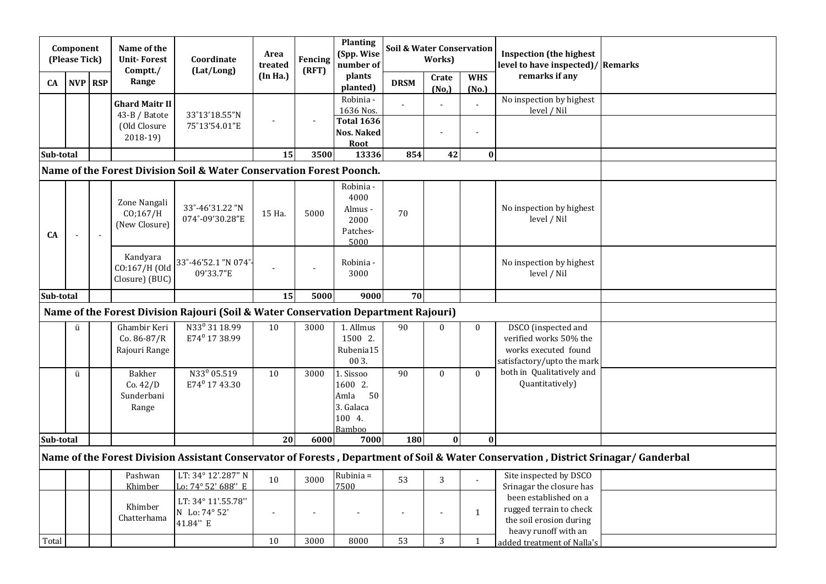|           | Component<br>(Please Tick) |                | Name of the<br><b>Unit-Forest</b><br>Comptt./ | Coordinate<br>(Lat/Long)                                                           | Area<br>treated | Fencing<br>(RFT)       | <b>Planting</b><br>(Spp. Wise<br>number of                          | <b>Soil &amp; Water Conservation</b><br>Works) |                |                              | <b>Inspection</b> (the highest<br>level to have inspected)/ Remarks                                                                 |  |
|-----------|----------------------------|----------------|-----------------------------------------------|------------------------------------------------------------------------------------|-----------------|------------------------|---------------------------------------------------------------------|------------------------------------------------|----------------|------------------------------|-------------------------------------------------------------------------------------------------------------------------------------|--|
| CA        | NVP RSP                    |                | Range                                         |                                                                                    | (In Ha.)        |                        | plants<br>planted)                                                  | <b>DRSM</b>                                    | Crate<br>(No,) | <b>WHS</b><br>(No.)          | remarks if any                                                                                                                      |  |
|           |                            |                | <b>Ghard Maitr II</b><br>43-B / Batote        | 33°13'18.55"N                                                                      |                 | $\sim$                 | Robinia -<br>1636 Nos.                                              |                                                |                |                              | No inspection by highest<br>level / Nil                                                                                             |  |
|           |                            |                | (Old Closure<br>$2018-19$                     | 75°13'54.01"E                                                                      |                 |                        | <b>Total 1636</b><br><b>Nos. Naked</b><br><b>Root</b>               |                                                |                |                              |                                                                                                                                     |  |
| Sub-total |                            |                |                                               |                                                                                    | 15              | 3500                   | 13336                                                               | 854                                            | 42             | $\boldsymbol{0}$             |                                                                                                                                     |  |
|           |                            |                |                                               | Name of the Forest Division Soil & Water Conservation Forest Poonch.               |                 |                        |                                                                     |                                                |                |                              |                                                                                                                                     |  |
| <b>CA</b> | ÷,                         | $\blacksquare$ | Zone Nangali<br>CO;167/H<br>(New Closure)     | 33°-46'31.22"N<br>074°-09'30.28"E                                                  | 15 Ha.          | 5000                   | Robinia -<br>4000<br>Almus -<br>2000<br>Patches-<br>5000            | 70                                             |                |                              | No inspection by highest<br>level / Nil                                                                                             |  |
|           |                            |                | Kandyara<br>CO:167/H (Old<br>Closure) (BUC)   | 33°-46'52.1 "N 074°<br>09'33.7"E                                                   |                 |                        | Robinia -<br>3000                                                   |                                                |                |                              | No inspection by highest<br>level / Nil                                                                                             |  |
| Sub-total |                            |                |                                               |                                                                                    | 15              | 5000                   | 9000                                                                | 70                                             |                |                              |                                                                                                                                     |  |
|           |                            |                |                                               | Name of the Forest Division Rajouri (Soil & Water Conservation Department Rajouri) |                 |                        |                                                                     |                                                |                |                              |                                                                                                                                     |  |
|           | ü                          |                | Ghambir Keri<br>$Co.86-87/R$<br>Rajouri Range | N33 <sup>0</sup> 31 18.99<br>E74 <sup>0</sup> 17 38.99                             | 10              | 3000                   | 1. Allmus<br>1500 2.<br>Rubenia15<br>00 3.                          | 90                                             | $\mathbf{0}$   | $\mathbf{0}$                 | DSCO (inspected and<br>verified works 50% the<br>works executed found<br>satisfactory/upto the mark                                 |  |
|           | ü                          |                | Bakher<br>Co.42/D<br>Sunderbani<br>Range      | N33 <sup>0</sup> 05.519<br>E74 <sup>0</sup> 17 43.30                               | 10              | 3000                   | 1. Sissoo<br>1600 2.<br>50<br>Amla<br>3. Galaca<br>100 4.<br>Bamboo | 90                                             | $\mathbf{0}$   | $\theta$                     | both in Qualitatively and<br>Quantitatively)                                                                                        |  |
| Sub-total |                            |                |                                               |                                                                                    | 20              | 6000                   | 7000                                                                | 180                                            | $\bf{0}$       | $\mathbf{0}$                 |                                                                                                                                     |  |
|           |                            |                |                                               |                                                                                    |                 |                        |                                                                     |                                                |                |                              | Name of the Forest Division Assistant Conservator of Forests, Department of Soil & Water Conservation, District Srinagar/ Ganderbal |  |
|           |                            |                | Pashwan<br>Khimber                            | LT: 34° 12'.287" N<br>Lo: 74° 52' 688" E                                           | 10              | 3000                   | Rubinia =<br>7500                                                   | 53                                             | 3              |                              | Site inspected by DSCO<br>Srinagar the closure has                                                                                  |  |
| Total     |                            |                | Khimber<br>Chatterhama                        | LT: 34° 11'.55.78"<br>N Lo: 74° 52'<br>41.84" E                                    | 10              | $\blacksquare$<br>3000 | 8000                                                                | $\blacksquare$<br>53                           | $\sim$<br>3    | $\mathbf{1}$<br>$\mathbf{1}$ | been established on a<br>rugged terrain to check<br>the soil erosion during<br>heavy runoff with an<br>added treatment of Nalla's   |  |
|           |                            |                |                                               |                                                                                    |                 |                        |                                                                     |                                                |                |                              |                                                                                                                                     |  |